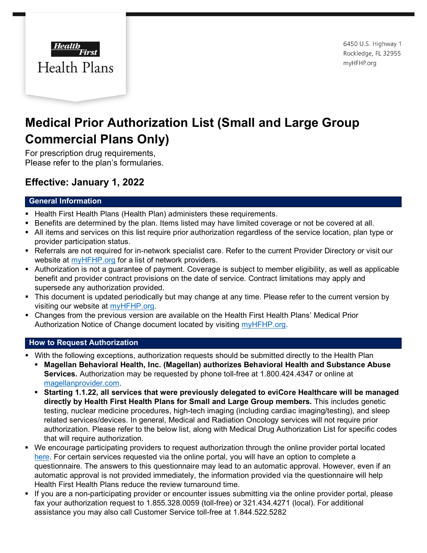

6450 U.S. Highway 1 Rockledge, FL 32955 myHFHP.org

# **Medical Prior Authorization List (Small and Large Group Commercial Plans Only)**

For prescription drug requirements, Please refer to the plan's formularies.

# **Effective: January 1, 2022**

## **General Information**

- Health First Health Plans (Health Plan) administers these requirements.
- Benefits are determined by the plan. Items listed may have limited coverage or not be covered at all.
- All items and services on this list require prior authorization regardless of the service location, plan type or provider participation status.
- Referrals are not required for in-network specialist care. Refer to the current Provider Directory or visit our website at [myHFHP.org](http://www.myhfhp.org/) for a list of network providers.
- Authorization is not a guarantee of payment. Coverage is subject to member eligibility, as well as applicable benefit and provider contract provisions on the date of service. Contract limitations may apply and supersede any authorization provided.
- This document is updated periodically but may change at any time. Please refer to the current version by visiting our website at [myHFHP.org.](http://www.myhfhp.org/)
- Changes from the previous version are available on the Health First Health Plans' Medical Prior Authorization Notice of Change document located by visiting [myHFHP.org.](https://hf.org/health_plans/healthplans.cfm)

### **How to Request Authorization**

- With the following exceptions, authorization requests should be submitted directly to the Health Plan
	- **Magellan Behavioral Health, Inc. (Magellan) authorizes Behavioral Health and Substance Abuse Services.** Authorization may be requested by phone toll-free at 1.800.424.4347 or online at [magellanprovider.com.](http://www.magellanprovider.com/)
	- **Starting 1.1.22, all services that were previously delegated to eviCore Healthcare will be managed directly by Health First Health Plans for Small and Large Group members.** This includes genetic testing, nuclear medicine procedures, high-tech imaging (including cardiac imaging/testing), and sleep related services/devices. In general, Medical and Radiation Oncology services will not require prior authorization. Please refer to the below list, along with Medical Drug Authorization List for specific codes that will require authorization.
- We encourage participating providers to request authorization through the online provider portal located [here.](https://hfprovider.healthtrioconnect.com/app/index.page?) For certain services requested via the online portal, you will have an option to complete a questionnaire. The answers to this questionnaire may lead to an automatic approval. However, even if an automatic approval is not provided immediately, the information provided via the questionnaire will help Health First Health Plans reduce the review turnaround time.
- If you are a non-participating provider or encounter issues submitting via the online provider portal, please fax your authorization request to 1.855.328.0059 (toll-free) or 321.434.4271 (local). For additional assistance you may also call Customer Service toll-free at 1.844.522.5282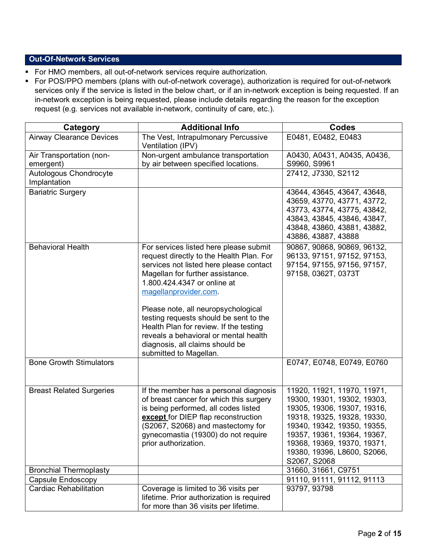### **Out-Of-Network Services**

- For HMO members, all out-of-network services require authorization.
- For POS/PPO members (plans with out-of-network coverage), authorization is required for out-of-network services only if the service is listed in the below chart, or if an in-network exception is being requested. If an in-network exception is being requested, please include details regarding the reason for the exception request (e.g. services not available in-network, continuity of care, etc.).

| Category                               | <b>Additional Info</b>                                                                                                                                                                                                                                                                                                                                                                                                                                     | <b>Codes</b>                                                                                                                                                                                                                                                         |
|----------------------------------------|------------------------------------------------------------------------------------------------------------------------------------------------------------------------------------------------------------------------------------------------------------------------------------------------------------------------------------------------------------------------------------------------------------------------------------------------------------|----------------------------------------------------------------------------------------------------------------------------------------------------------------------------------------------------------------------------------------------------------------------|
| <b>Airway Clearance Devices</b>        | The Vest, Intrapulmonary Percussive<br>Ventilation (IPV)                                                                                                                                                                                                                                                                                                                                                                                                   | E0481, E0482, E0483                                                                                                                                                                                                                                                  |
| Air Transportation (non-<br>emergent)  | Non-urgent ambulance transportation<br>by air between specified locations.                                                                                                                                                                                                                                                                                                                                                                                 | A0430, A0431, A0435, A0436,<br>S9960, S9961                                                                                                                                                                                                                          |
| Autologous Chondrocyte<br>Implantation |                                                                                                                                                                                                                                                                                                                                                                                                                                                            | 27412, J7330, S2112                                                                                                                                                                                                                                                  |
| <b>Bariatric Surgery</b>               |                                                                                                                                                                                                                                                                                                                                                                                                                                                            | 43644, 43645, 43647, 43648,<br>43659, 43770, 43771, 43772,<br>43773, 43774, 43775, 43842,<br>43843, 43845, 43846, 43847,<br>43848, 43860, 43881, 43882,<br>43886, 43887, 43888                                                                                       |
| <b>Behavioral Health</b>               | For services listed here please submit<br>request directly to the Health Plan. For<br>services not listed here please contact<br>Magellan for further assistance.<br>1.800.424.4347 or online at<br>magellanprovider.com.<br>Please note, all neuropsychological<br>testing requests should be sent to the<br>Health Plan for review. If the testing<br>reveals a behavioral or mental health<br>diagnosis, all claims should be<br>submitted to Magellan. | 90867, 90868, 90869, 96132,<br>96133, 97151, 97152, 97153,<br>97154, 97155, 97156, 97157,<br>97158, 0362T, 0373T                                                                                                                                                     |
| <b>Bone Growth Stimulators</b>         |                                                                                                                                                                                                                                                                                                                                                                                                                                                            | E0747, E0748, E0749, E0760                                                                                                                                                                                                                                           |
| <b>Breast Related Surgeries</b>        | If the member has a personal diagnosis<br>of breast cancer for which this surgery<br>is being performed, all codes listed<br>except for DIEP flap reconstruction<br>(S2067, S2068) and mastectomy for<br>gynecomastia (19300) do not require<br>prior authorization.                                                                                                                                                                                       | 11920, 11921, 11970, 11971,<br>19300, 19301, 19302, 19303,<br>19305, 19306, 19307, 19316,<br>19318, 19325, 19328, 19330,<br>19340, 19342, 19350, 19355,<br>19357, 19361, 19364, 19367,<br>19368, 19369, 19370, 19371,<br>19380, 19396, L8600, S2066,<br>S2067, S2068 |
| <b>Bronchial Thermoplasty</b>          |                                                                                                                                                                                                                                                                                                                                                                                                                                                            | 31660, 31661, C9751                                                                                                                                                                                                                                                  |
| Capsule Endoscopy                      |                                                                                                                                                                                                                                                                                                                                                                                                                                                            | 91110, 91111, 91112, 91113                                                                                                                                                                                                                                           |
| <b>Cardiac Rehabilitation</b>          | Coverage is limited to 36 visits per<br>lifetime. Prior authorization is required<br>for more than 36 visits per lifetime.                                                                                                                                                                                                                                                                                                                                 | 93797, 93798                                                                                                                                                                                                                                                         |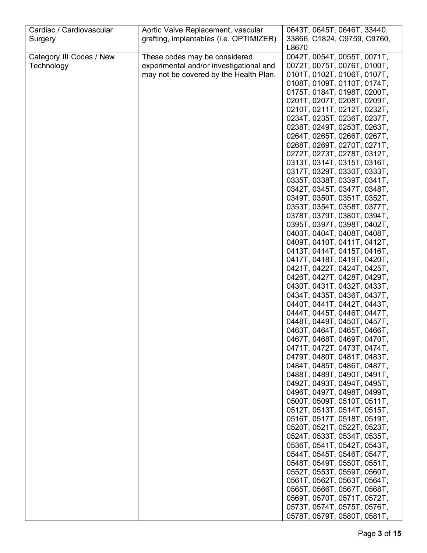| Cardiac / Cardiovascular | Aortic Valve Replacement, vascular      | 0643T, 0645T, 0646T, 33440, |
|--------------------------|-----------------------------------------|-----------------------------|
| Surgery                  | grafting, implantables (i.e. OPTIMIZER) | 33866, C1824, C9759, C9760, |
|                          |                                         | L8670                       |
| Category III Codes / New | These codes may be considered           | 0042T, 0054T, 0055T, 0071T, |
| Technology               | experimental and/or investigational and | 0072T, 0075T, 0076T, 0100T, |
|                          | may not be covered by the Health Plan.  | 0101T, 0102T, 0106T, 0107T, |
|                          |                                         | 0108T, 0109T, 0110T, 0174T, |
|                          |                                         | 0175T, 0184T, 0198T, 0200T, |
|                          |                                         | 0201T, 0207T, 0208T, 0209T, |
|                          |                                         | 0210T, 0211T, 0212T, 0232T, |
|                          |                                         | 0234T, 0235T, 0236T, 0237T, |
|                          |                                         |                             |
|                          |                                         | 0238T, 0249T, 0253T, 0263T, |
|                          |                                         | 0264T, 0265T, 0266T, 0267T, |
|                          |                                         | 0268T, 0269T, 0270T, 0271T, |
|                          |                                         | 0272T, 0273T, 0278T, 0312T, |
|                          |                                         | 0313T, 0314T, 0315T, 0316T, |
|                          |                                         | 0317T, 0329T, 0330T, 0333T, |
|                          |                                         | 0335T, 0338T, 0339T, 0341T, |
|                          |                                         | 0342T, 0345T, 0347T, 0348T, |
|                          |                                         | 0349T, 0350T, 0351T, 0352T, |
|                          |                                         | 0353T, 0354T, 0358T, 0377T, |
|                          |                                         | 0378T, 0379T, 0380T, 0394T, |
|                          |                                         | 0395T, 0397T, 0398T, 0402T, |
|                          |                                         | 0403T, 0404T, 0408T, 0408T, |
|                          |                                         | 0409T, 0410T, 0411T, 0412T, |
|                          |                                         | 0413T, 0414T, 0415T, 0416T, |
|                          |                                         | 0417T, 0418T, 0419T, 0420T, |
|                          |                                         | 0421T, 0422T, 0424T, 0425T, |
|                          |                                         | 0426T, 0427T, 0428T, 0429T, |
|                          |                                         | 0430T, 0431T, 0432T, 0433T, |
|                          |                                         | 0434T, 0435T, 0436T, 0437T, |
|                          |                                         | 0440T, 0441T, 0442T, 0443T, |
|                          |                                         | 0444T, 0445T, 0446T, 0447T, |
|                          |                                         | 0448T, 0449T, 0450T, 0457T, |
|                          |                                         | 0463T, 0464T, 0465T, 0466T, |
|                          |                                         | 0467T, 0468T, 0469T, 0470T, |
|                          |                                         | 0471T, 0472T, 0473T, 0474T, |
|                          |                                         | 0479T, 0480T, 0481T, 0483T, |
|                          |                                         | 0484T, 0485T, 0486T, 0487T, |
|                          |                                         | 0488T, 0489T, 0490T, 0491T, |
|                          |                                         | 0492T, 0493T, 0494T, 0495T, |
|                          |                                         | 0496T, 0497T, 0498T, 0499T, |
|                          |                                         | 0500T, 0509T, 0510T, 0511T, |
|                          |                                         | 0512T, 0513T, 0514T, 0515T, |
|                          |                                         | 0516T, 0517T, 0518T, 0519T, |
|                          |                                         | 0520T, 0521T, 0522T, 0523T, |
|                          |                                         | 0524T, 0533T, 0534T, 0535T, |
|                          |                                         | 0536T, 0541T, 0542T, 0543T, |
|                          |                                         |                             |
|                          |                                         | 0544T, 0545T, 0546T, 0547T, |
|                          |                                         | 0548T, 0549T, 0550T, 0551T, |
|                          |                                         | 0552T, 0553T, 0559T, 0560T, |
|                          |                                         | 0561T, 0562T, 0563T, 0564T, |
|                          |                                         | 0565T, 0566T, 0567T, 0568T, |
|                          |                                         | 0569T, 0570T, 0571T, 0572T, |
|                          |                                         | 0573T, 0574T, 0575T, 0576T, |
|                          |                                         | 0578T, 0579T, 0580T, 0581T, |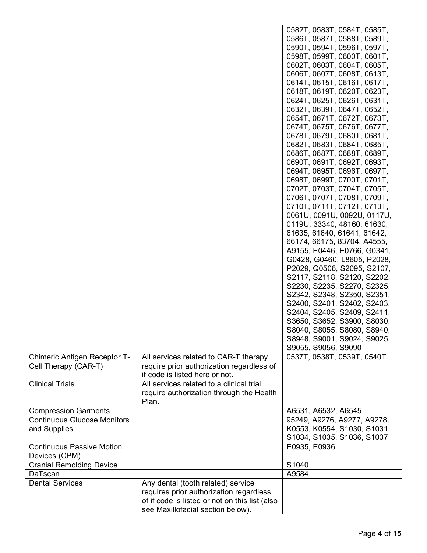|                                    |                                                                             | 0582T, 0583T, 0584T, 0585T, |
|------------------------------------|-----------------------------------------------------------------------------|-----------------------------|
|                                    |                                                                             | 0586T, 0587T, 0588T, 0589T, |
|                                    |                                                                             | 0590T, 0594T, 0596T, 0597T, |
|                                    |                                                                             | 0598T, 0599T, 0600T, 0601T, |
|                                    |                                                                             | 0602T, 0603T, 0604T, 0605T, |
|                                    |                                                                             |                             |
|                                    |                                                                             | 0606T, 0607T, 0608T, 0613T, |
|                                    |                                                                             | 0614T, 0615T, 0616T, 0617T, |
|                                    |                                                                             | 0618T, 0619T, 0620T, 0623T, |
|                                    |                                                                             | 0624T, 0625T, 0626T, 0631T, |
|                                    |                                                                             | 0632T, 0639T, 0647T, 0652T, |
|                                    |                                                                             | 0654T, 0671T, 0672T, 0673T, |
|                                    |                                                                             | 0674T, 0675T, 0676T, 0677T, |
|                                    |                                                                             | 0678T, 0679T, 0680T, 0681T, |
|                                    |                                                                             | 0682T, 0683T, 0684T, 0685T, |
|                                    |                                                                             | 0686T, 0687T, 0688T, 0689T, |
|                                    |                                                                             | 0690T, 0691T, 0692T, 0693T, |
|                                    |                                                                             | 0694T, 0695T, 0696T, 0697T, |
|                                    |                                                                             |                             |
|                                    |                                                                             | 0698T, 0699T, 0700T, 0701T, |
|                                    |                                                                             | 0702T, 0703T, 0704T, 0705T, |
|                                    |                                                                             | 0706T, 0707T, 0708T, 0709T, |
|                                    |                                                                             | 0710T, 0711T, 0712T, 0713T, |
|                                    |                                                                             | 0061U, 0091U, 0092U, 0117U, |
|                                    |                                                                             | 0119U, 33340, 48160, 61630, |
|                                    |                                                                             | 61635, 61640, 61641, 61642, |
|                                    |                                                                             | 66174, 66175, 83704, A4555, |
|                                    |                                                                             | A9155, E0446, E0766, G0341, |
|                                    |                                                                             | G0428, G0460, L8605, P2028, |
|                                    |                                                                             | P2029, Q0506, S2095, S2107, |
|                                    |                                                                             | S2117, S2118, S2120, S2202, |
|                                    |                                                                             | S2230, S2235, S2270, S2325, |
|                                    |                                                                             | S2342, S2348, S2350, S2351, |
|                                    |                                                                             |                             |
|                                    |                                                                             | S2400, S2401, S2402, S2403, |
|                                    |                                                                             | S2404, S2405, S2409, S2411, |
|                                    |                                                                             | S3650, S3652, S3900, S8030, |
|                                    |                                                                             | S8040, S8055, S8080, S8940, |
|                                    |                                                                             | S8948, S9001, S9024, S9025, |
|                                    |                                                                             | S9055, S9056, S9090         |
| Chimeric Antigen Receptor T-       | All services related to CAR-T therapy                                       | 0537T, 0538T, 0539T, 0540T  |
| Cell Therapy (CAR-T)               | require prior authorization regardless of<br>if code is listed here or not. |                             |
|                                    | All services related to a clinical trial                                    |                             |
| <b>Clinical Trials</b>             |                                                                             |                             |
|                                    | require authorization through the Health                                    |                             |
|                                    | Plan.                                                                       |                             |
| <b>Compression Garments</b>        |                                                                             | A6531, A6532, A6545         |
| <b>Continuous Glucose Monitors</b> |                                                                             | 95249, A9276, A9277, A9278, |
| and Supplies                       |                                                                             | K0553, K0554, S1030, S1031, |
|                                    |                                                                             | S1034, S1035, S1036, S1037  |
| <b>Continuous Passive Motion</b>   |                                                                             | E0935, E0936                |
| Devices (CPM)                      |                                                                             |                             |
| <b>Cranial Remolding Device</b>    |                                                                             | S1040                       |
| DaTscan                            |                                                                             | A9584                       |
| <b>Dental Services</b>             | Any dental (tooth related) service                                          |                             |
|                                    |                                                                             |                             |
|                                    | requires prior authorization regardless                                     |                             |
|                                    | of if code is listed or not on this list (also                              |                             |
|                                    | see Maxillofacial section below).                                           |                             |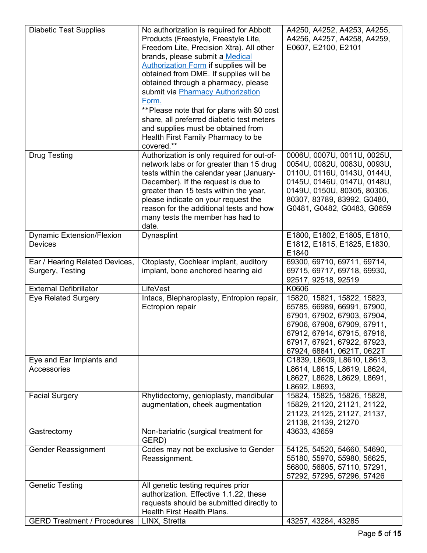| <b>Diabetic Test Supplies</b>                      | No authorization is required for Abbott<br>Products (Freestyle, Freestyle Lite,<br>Freedom Lite, Precision Xtra). All other<br>brands, please submit a Medical<br><b>Authorization Form if supplies will be</b><br>obtained from DME. If supplies will be<br>obtained through a pharmacy, please<br>submit via Pharmacy Authorization<br>Form.<br>**Please note that for plans with \$0 cost<br>share, all preferred diabetic test meters<br>and supplies must be obtained from<br>Health First Family Pharmacy to be<br>covered.** | A4250, A4252, A4253, A4255,<br>A4256, A4257, A4258, A4259,<br>E0607, E2100, E2101                                                                                                                                    |
|----------------------------------------------------|-------------------------------------------------------------------------------------------------------------------------------------------------------------------------------------------------------------------------------------------------------------------------------------------------------------------------------------------------------------------------------------------------------------------------------------------------------------------------------------------------------------------------------------|----------------------------------------------------------------------------------------------------------------------------------------------------------------------------------------------------------------------|
| <b>Drug Testing</b>                                | Authorization is only required for out-of-<br>network labs or for greater than 15 drug<br>tests within the calendar year (January-<br>December). If the request is due to<br>greater than 15 tests within the year,<br>please indicate on your request the<br>reason for the additional tests and how<br>many tests the member has had to<br>date.                                                                                                                                                                                  | 0006U, 0007U, 0011U, 0025U,<br>0054U, 0082U, 0083U, 0093U,<br>0110U, 0116U, 0143U, 0144U,<br>0145U, 0146U, 0147U, 0148U,<br>0149U, 0150U, 80305, 80306,<br>80307, 83789, 83992, G0480,<br>G0481, G0482, G0483, G0659 |
| <b>Dynamic Extension/Flexion</b><br><b>Devices</b> | Dynasplint                                                                                                                                                                                                                                                                                                                                                                                                                                                                                                                          | E1800, E1802, E1805, E1810,<br>E1812, E1815, E1825, E1830,<br>E1840                                                                                                                                                  |
| Ear / Hearing Related Devices,<br>Surgery, Testing | Otoplasty, Cochlear implant, auditory<br>implant, bone anchored hearing aid                                                                                                                                                                                                                                                                                                                                                                                                                                                         | 69300, 69710, 69711, 69714,<br>69715, 69717, 69718, 69930,<br>92517, 92518, 92519                                                                                                                                    |
| <b>External Defibrillator</b>                      | LifeVest                                                                                                                                                                                                                                                                                                                                                                                                                                                                                                                            | K0606                                                                                                                                                                                                                |
| <b>Eye Related Surgery</b>                         | Intacs, Blepharoplasty, Entropion repair,<br>Ectropion repair                                                                                                                                                                                                                                                                                                                                                                                                                                                                       | 15820, 15821, 15822, 15823,<br>65785, 66989, 66991, 67900,<br>67901, 67902, 67903, 67904,<br>67906, 67908, 67909, 67911,<br>67912, 67914, 67915, 67916,<br>67917, 67921, 67922, 67923,<br>67924, 68841, 0621T, 0622T |
| Eye and Ear Implants and<br>Accessories            |                                                                                                                                                                                                                                                                                                                                                                                                                                                                                                                                     | C1839, L8609, L8610, L8613,<br>L8614, L8615, L8619, L8624,<br>L8627, L8628, L8629, L8691,<br>L8692, L8693,                                                                                                           |
| <b>Facial Surgery</b>                              | Rhytidectomy, genioplasty, mandibular<br>augmentation, cheek augmentation                                                                                                                                                                                                                                                                                                                                                                                                                                                           | 15824, 15825, 15826, 15828,<br>15829, 21120, 21121, 21122,<br>21123, 21125, 21127, 21137,<br>21138, 21139, 21270                                                                                                     |
| Gastrectomy                                        | Non-bariatric (surgical treatment for<br>GERD)                                                                                                                                                                                                                                                                                                                                                                                                                                                                                      | 43633, 43659                                                                                                                                                                                                         |
| <b>Gender Reassignment</b>                         | Codes may not be exclusive to Gender<br>Reassignment.                                                                                                                                                                                                                                                                                                                                                                                                                                                                               | 54125, 54520, 54660, 54690,<br>55180, 55970, 55980, 56625,<br>56800, 56805, 57110, 57291,<br>57292, 57295, 57296, 57426                                                                                              |
| <b>Genetic Testing</b>                             | All genetic testing requires prior<br>authorization. Effective 1.1.22, these<br>requests should be submitted directly to<br>Health First Health Plans.                                                                                                                                                                                                                                                                                                                                                                              |                                                                                                                                                                                                                      |
| <b>GERD Treatment / Procedures</b>                 | LINX, Stretta                                                                                                                                                                                                                                                                                                                                                                                                                                                                                                                       | 43257, 43284, 43285                                                                                                                                                                                                  |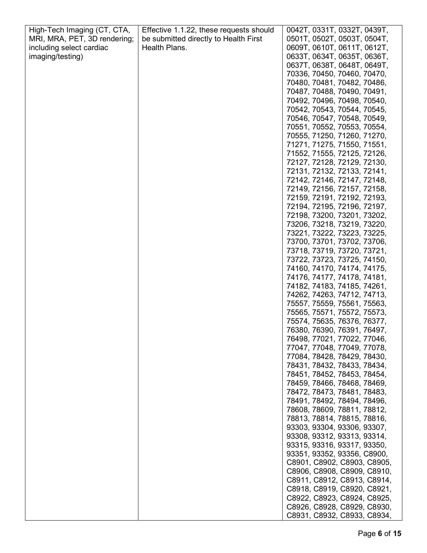| High-Tech Imaging (CT, CTA,  | Effective 1.1.22, these requests should | 0042T, 0331T, 0332T, 0439T, |
|------------------------------|-----------------------------------------|-----------------------------|
| MRI, MRA, PET, 3D rendering; | be submitted directly to Health First   | 0501T, 0502T, 0503T, 0504T, |
| including select cardiac     | Health Plans.                           | 0609T, 0610T, 0611T, 0612T, |
| imaging/testing)             |                                         | 0633T, 0634T, 0635T, 0636T, |
|                              |                                         | 0637T, 0638T, 0648T, 0649T, |
|                              |                                         | 70336, 70450, 70460, 70470, |
|                              |                                         | 70480, 70481, 70482, 70486, |
|                              |                                         |                             |
|                              |                                         | 70487, 70488, 70490, 70491, |
|                              |                                         | 70492, 70496, 70498, 70540, |
|                              |                                         | 70542, 70543, 70544, 70545, |
|                              |                                         | 70546, 70547, 70548, 70549, |
|                              |                                         | 70551, 70552, 70553, 70554, |
|                              |                                         | 70555, 71250, 71260, 71270, |
|                              |                                         | 71271, 71275, 71550, 71551, |
|                              |                                         | 71552, 71555, 72125, 72126, |
|                              |                                         | 72127, 72128, 72129, 72130, |
|                              |                                         | 72131, 72132, 72133, 72141, |
|                              |                                         | 72142, 72146, 72147, 72148, |
|                              |                                         | 72149, 72156, 72157, 72158, |
|                              |                                         | 72159, 72191, 72192, 72193, |
|                              |                                         | 72194, 72195, 72196, 72197, |
|                              |                                         | 72198, 73200, 73201, 73202, |
|                              |                                         | 73206, 73218, 73219, 73220, |
|                              |                                         | 73221, 73222, 73223, 73225, |
|                              |                                         | 73700, 73701, 73702, 73706, |
|                              |                                         | 73718, 73719, 73720, 73721, |
|                              |                                         | 73722, 73723, 73725, 74150, |
|                              |                                         | 74160, 74170, 74174, 74175, |
|                              |                                         | 74176, 74177, 74178, 74181, |
|                              |                                         | 74182, 74183, 74185, 74261, |
|                              |                                         | 74262, 74263, 74712, 74713, |
|                              |                                         | 75557, 75559, 75561, 75563, |
|                              |                                         | 75565, 75571, 75572, 75573, |
|                              |                                         | 75574, 75635, 76376, 76377, |
|                              |                                         |                             |
|                              |                                         | 76380, 76390, 76391, 76497, |
|                              |                                         | 76498, 77021, 77022, 77046, |
|                              |                                         | 77047, 77048, 77049, 77078, |
|                              |                                         | 77084, 78428, 78429, 78430, |
|                              |                                         | 78431, 78432, 78433, 78434, |
|                              |                                         | 78451, 78452, 78453, 78454, |
|                              |                                         | 78459, 78466, 78468, 78469, |
|                              |                                         | 78472, 78473, 78481, 78483, |
|                              |                                         | 78491, 78492, 78494, 78496, |
|                              |                                         | 78608, 78609, 78811, 78812, |
|                              |                                         | 78813, 78814, 78815, 78816, |
|                              |                                         | 93303, 93304, 93306, 93307, |
|                              |                                         | 93308, 93312, 93313, 93314, |
|                              |                                         | 93315, 93316, 93317, 93350, |
|                              |                                         | 93351, 93352, 93356, C8900, |
|                              |                                         | C8901, C8902, C8903, C8905, |
|                              |                                         | C8906, C8908, C8909, C8910, |
|                              |                                         | C8911, C8912, C8913, C8914, |
|                              |                                         | C8918, C8919, C8920, C8921, |
|                              |                                         | C8922, C8923, C8924, C8925, |
|                              |                                         | C8926, C8928, C8929, C8930, |
|                              |                                         | C8931, C8932, C8933, C8934, |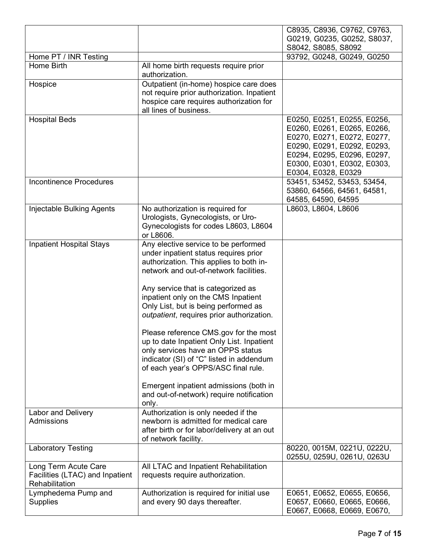|                                       |                                                                                      | C8935, C8936, C9762, C9763,<br>G0219, G0235, G0252, S8037, |
|---------------------------------------|--------------------------------------------------------------------------------------|------------------------------------------------------------|
|                                       |                                                                                      | S8042, S8085, S8092                                        |
| Home PT / INR Testing                 |                                                                                      | 93792, G0248, G0249, G0250                                 |
| Home Birth                            | All home birth requests require prior<br>authorization.                              |                                                            |
| Hospice                               | Outpatient (in-home) hospice care does<br>not require prior authorization. Inpatient |                                                            |
|                                       | hospice care requires authorization for                                              |                                                            |
|                                       | all lines of business.                                                               |                                                            |
| <b>Hospital Beds</b>                  |                                                                                      | E0250, E0251, E0255, E0256,                                |
|                                       |                                                                                      | E0260, E0261, E0265, E0266,<br>E0270, E0271, E0272, E0277, |
|                                       |                                                                                      | E0290, E0291, E0292, E0293,                                |
|                                       |                                                                                      | E0294, E0295, E0296, E0297,                                |
|                                       |                                                                                      | E0300, E0301, E0302, E0303,<br>E0304, E0328, E0329         |
| <b>Incontinence Procedures</b>        |                                                                                      | 53451, 53452, 53453, 53454,                                |
|                                       |                                                                                      | 53860, 64566, 64561, 64581,                                |
| <b>Injectable Bulking Agents</b>      | No authorization is required for                                                     | 64585, 64590, 64595<br>L8603, L8604, L8606                 |
|                                       | Urologists, Gynecologists, or Uro-                                                   |                                                            |
|                                       | Gynecologists for codes L8603, L8604                                                 |                                                            |
|                                       | or L8606.                                                                            |                                                            |
| <b>Inpatient Hospital Stays</b>       | Any elective service to be performed<br>under inpatient status requires prior        |                                                            |
|                                       | authorization. This applies to both in-                                              |                                                            |
|                                       | network and out-of-network facilities.                                               |                                                            |
|                                       | Any service that is categorized as                                                   |                                                            |
|                                       | inpatient only on the CMS Inpatient                                                  |                                                            |
|                                       | Only List, but is being performed as                                                 |                                                            |
|                                       | outpatient, requires prior authorization.                                            |                                                            |
|                                       | Please reference CMS.gov for the most                                                |                                                            |
|                                       | up to date Inpatient Only List. Inpatient<br>only services have an OPPS status       |                                                            |
|                                       | indicator (SI) of "C" listed in addendum                                             |                                                            |
|                                       | of each year's OPPS/ASC final rule.                                                  |                                                            |
|                                       | Emergent inpatient admissions (both in                                               |                                                            |
|                                       | and out-of-network) require notification                                             |                                                            |
|                                       | only.                                                                                |                                                            |
| Labor and Delivery<br>Admissions      | Authorization is only needed if the<br>newborn is admitted for medical care          |                                                            |
|                                       | after birth or for labor/delivery at an out                                          |                                                            |
|                                       | of network facility.                                                                 |                                                            |
| <b>Laboratory Testing</b>             |                                                                                      | 80220, 0015M, 0221U, 0222U,<br>0255U, 0259U, 0261U, 0263U  |
| Long Term Acute Care                  | All LTAC and Inpatient Rehabilitation                                                |                                                            |
| Facilities (LTAC) and Inpatient       | requests require authorization.                                                      |                                                            |
| Rehabilitation<br>Lymphedema Pump and | Authorization is required for initial use                                            | E0651, E0652, E0655, E0656,                                |
| <b>Supplies</b>                       | and every 90 days thereafter.                                                        | E0657, E0660, E0665, E0666,                                |
|                                       |                                                                                      | E0667, E0668, E0669, E0670,                                |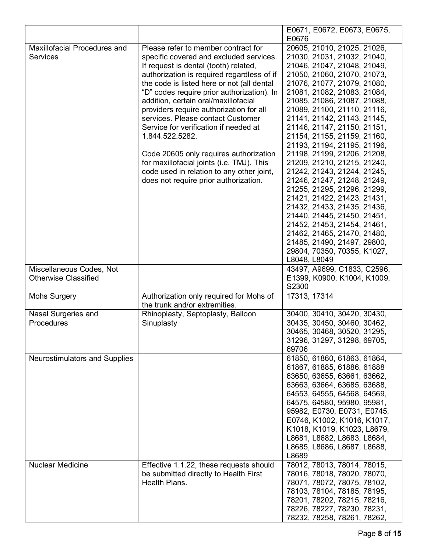|                                     |                                            | E0671, E0672, E0673, E0675, |
|-------------------------------------|--------------------------------------------|-----------------------------|
|                                     |                                            | E0676                       |
| <b>Maxillofacial Procedures and</b> | Please refer to member contract for        | 20605, 21010, 21025, 21026, |
| <b>Services</b>                     | specific covered and excluded services.    | 21030, 21031, 21032, 21040, |
|                                     | If request is dental (tooth) related,      | 21046, 21047, 21048, 21049, |
|                                     | authorization is required regardless of if | 21050, 21060, 21070, 21073, |
|                                     | the code is listed here or not (all dental | 21076, 21077, 21079, 21080, |
|                                     | "D" codes require prior authorization). In | 21081, 21082, 21083, 21084, |
|                                     | addition, certain oral/maxillofacial       | 21085, 21086, 21087, 21088, |
|                                     | providers require authorization for all    | 21089, 21100, 21110, 21116, |
|                                     | services. Please contact Customer          | 21141, 21142, 21143, 21145, |
|                                     | Service for verification if needed at      | 21146, 21147, 21150, 21151, |
|                                     | 1.844.522.5282.                            | 21154, 21155, 21159, 21160, |
|                                     |                                            | 21193, 21194, 21195, 21196, |
|                                     | Code 20605 only requires authorization     | 21198, 21199, 21206, 21208, |
|                                     | for maxillofacial joints (i.e. TMJ). This  | 21209, 21210, 21215, 21240, |
|                                     | code used in relation to any other joint,  | 21242, 21243, 21244, 21245, |
|                                     | does not require prior authorization.      |                             |
|                                     |                                            | 21246, 21247, 21248, 21249, |
|                                     |                                            | 21255, 21295, 21296, 21299, |
|                                     |                                            | 21421, 21422, 21423, 21431, |
|                                     |                                            | 21432, 21433, 21435, 21436, |
|                                     |                                            | 21440, 21445, 21450, 21451, |
|                                     |                                            | 21452, 21453, 21454, 21461, |
|                                     |                                            | 21462, 21465, 21470, 21480, |
|                                     |                                            | 21485, 21490, 21497, 29800, |
|                                     |                                            | 29804, 70350, 70355, K1027, |
|                                     |                                            | L8048, L8049                |
| Miscellaneous Codes, Not            |                                            | 43497, A9699, C1833, C2596, |
| <b>Otherwise Classified</b>         |                                            | E1399, K0900, K1004, K1009, |
|                                     |                                            | S2300                       |
| <b>Mohs Surgery</b>                 | Authorization only required for Mohs of    | 17313, 17314                |
|                                     | the trunk and/or extremities.              |                             |
| Nasal Surgeries and                 | Rhinoplasty, Septoplasty, Balloon          | 30400, 30410, 30420, 30430, |
| Procedures                          | Sinuplasty                                 | 30435, 30450, 30460, 30462, |
|                                     |                                            | 30465, 30468, 30520, 31295, |
|                                     |                                            | 31296, 31297, 31298, 69705, |
|                                     |                                            | 69706                       |
| Neurostimulators and Supplies       |                                            | 61850, 61860, 61863, 61864, |
|                                     |                                            | 61867, 61885, 61886, 61888  |
|                                     |                                            | 63650, 63655, 63661, 63662, |
|                                     |                                            | 63663, 63664, 63685, 63688, |
|                                     |                                            | 64553, 64555, 64568, 64569, |
|                                     |                                            |                             |
|                                     |                                            | 64575, 64580, 95980, 95981, |
|                                     |                                            | 95982, E0730, E0731, E0745, |
|                                     |                                            | E0746, K1002, K1016, K1017, |
|                                     |                                            | K1018, K1019, K1023, L8679, |
|                                     |                                            | L8681, L8682, L8683, L8684, |
|                                     |                                            | L8685, L8686, L8687, L8688, |
|                                     |                                            | L8689                       |
| <b>Nuclear Medicine</b>             | Effective 1.1.22, these requests should    | 78012, 78013, 78014, 78015, |
|                                     | be submitted directly to Health First      | 78016, 78018, 78020, 78070, |
|                                     | Health Plans.                              | 78071, 78072, 78075, 78102, |
|                                     |                                            | 78103, 78104, 78185, 78195, |
|                                     |                                            | 78201, 78202, 78215, 78216, |
|                                     |                                            | 78226, 78227, 78230, 78231, |
|                                     |                                            | 78232, 78258, 78261, 78262, |
|                                     |                                            |                             |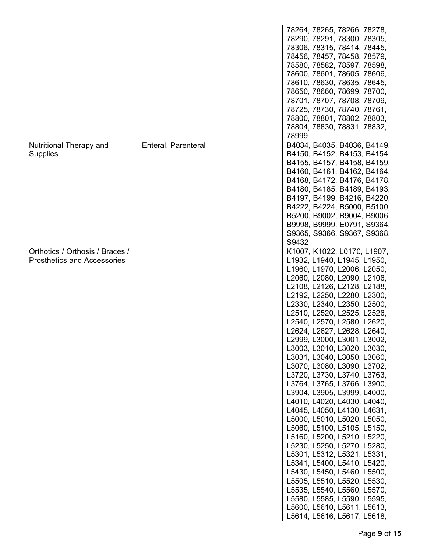|                                                                       |                     | 78264, 78265, 78266, 78278,<br>78290, 78291, 78300, 78305,<br>78306, 78315, 78414, 78445,<br>78456, 78457, 78458, 78579,<br>78580, 78582, 78597, 78598,<br>78600, 78601, 78605, 78606,<br>78610, 78630, 78635, 78645,                                                                                                                                                                                                                                                                                                                                                                                                                                                                                                                                                                                                                                                                                                                                                                         |
|-----------------------------------------------------------------------|---------------------|-----------------------------------------------------------------------------------------------------------------------------------------------------------------------------------------------------------------------------------------------------------------------------------------------------------------------------------------------------------------------------------------------------------------------------------------------------------------------------------------------------------------------------------------------------------------------------------------------------------------------------------------------------------------------------------------------------------------------------------------------------------------------------------------------------------------------------------------------------------------------------------------------------------------------------------------------------------------------------------------------|
|                                                                       |                     | 78650, 78660, 78699, 78700,<br>78701, 78707, 78708, 78709,<br>78725, 78730, 78740, 78761,<br>78800, 78801, 78802, 78803,<br>78804, 78830, 78831, 78832,<br>78999                                                                                                                                                                                                                                                                                                                                                                                                                                                                                                                                                                                                                                                                                                                                                                                                                              |
| Nutritional Therapy and<br><b>Supplies</b>                            | Enteral, Parenteral | B4034, B4035, B4036, B4149,<br>B4150, B4152, B4153, B4154,<br>B4155, B4157, B4158, B4159,<br>B4160, B4161, B4162, B4164,<br>B4168, B4172, B4176, B4178,<br>B4180, B4185, B4189, B4193,<br>B4197, B4199, B4216, B4220,<br>B4222, B4224, B5000, B5100,<br>B5200, B9002, B9004, B9006,<br>B9998, B9999, E0791, S9364,<br>S9365, S9366, S9367, S9368,<br>S9432                                                                                                                                                                                                                                                                                                                                                                                                                                                                                                                                                                                                                                    |
| Orthotics / Orthosis / Braces /<br><b>Prosthetics and Accessories</b> |                     | K1007, K1022, L0170, L1907,<br>L1932, L1940, L1945, L1950,<br>L1960, L1970, L2006, L2050,<br>L2060, L2080, L2090, L2106,<br>L2108, L2126, L2128, L2188,<br>L2192, L2250, L2280, L2300,<br>L2330, L2340, L2350, L2500,<br>L2510, L2520, L2525, L2526,<br>L2540, L2570, L2580, L2620,<br>L2624, L2627, L2628, L2640,<br>L2999, L3000, L3001, L3002,<br>L3003, L3010, L3020, L3030,<br>L3031, L3040, L3050, L3060,<br>L3070, L3080, L3090, L3702,<br>L3720, L3730, L3740, L3763,<br>L3764, L3765, L3766, L3900,<br>L3904, L3905, L3999, L4000,<br>L4010, L4020, L4030, L4040,<br>L4045, L4050, L4130, L4631,<br>L5000, L5010, L5020, L5050,<br>L5060, L5100, L5105, L5150,<br>L5160, L5200, L5210, L5220,<br>L5230, L5250, L5270, L5280,<br>L5301, L5312, L5321, L5331,<br>L5341, L5400, L5410, L5420,<br>L5430, L5450, L5460, L5500,<br>L5505, L5510, L5520, L5530,<br>L5535, L5540, L5560, L5570,<br>L5580, L5585, L5590, L5595,<br>L5600, L5610, L5611, L5613,<br>L5614, L5616, L5617, L5618, |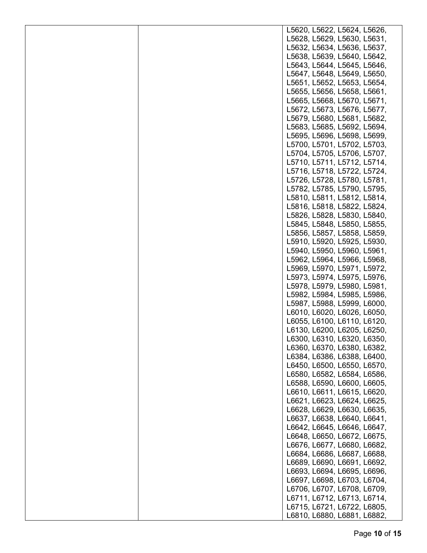|  | L5620, L5622, L5624, L5626, |
|--|-----------------------------|
|  | L5628, L5629, L5630, L5631, |
|  | L5632, L5634, L5636, L5637, |
|  | L5638, L5639, L5640, L5642, |
|  | L5643, L5644, L5645, L5646, |
|  | L5647, L5648, L5649, L5650, |
|  | L5651, L5652, L5653, L5654, |
|  | L5655, L5656, L5658, L5661, |
|  | L5665, L5668, L5670, L5671, |
|  | L5672, L5673, L5676, L5677, |
|  | L5679, L5680, L5681, L5682, |
|  | L5683, L5685, L5692, L5694, |
|  | L5695, L5696, L5698, L5699, |
|  | L5700, L5701, L5702, L5703, |
|  | L5704, L5705, L5706, L5707, |
|  | L5710, L5711, L5712, L5714, |
|  | L5716, L5718, L5722, L5724, |
|  | L5726, L5728, L5780, L5781, |
|  | L5782, L5785, L5790, L5795, |
|  | L5810, L5811, L5812, L5814, |
|  | L5816, L5818, L5822, L5824, |
|  | L5826, L5828, L5830, L5840, |
|  | L5845, L5848, L5850, L5855, |
|  | L5856, L5857, L5858, L5859, |
|  | L5910, L5920, L5925, L5930, |
|  | L5940, L5950, L5960, L5961, |
|  | L5962, L5964, L5966, L5968, |
|  | L5969, L5970, L5971, L5972, |
|  | L5973, L5974, L5975, L5976, |
|  | L5978, L5979, L5980, L5981, |
|  | L5982, L5984, L5985, L5986, |
|  | L5987, L5988, L5999, L6000, |
|  | L6010, L6020, L6026, L6050, |
|  | L6055, L6100, L6110, L6120, |
|  | L6130, L6200, L6205, L6250, |
|  | L6300, L6310, L6320, L6350, |
|  | L6360, L6370, L6380, L6382, |
|  | L6384, L6386, L6388, L6400, |
|  | L6450, L6500, L6550, L6570, |
|  | L6580, L6582, L6584, L6586, |
|  | L6588, L6590, L6600, L6605, |
|  | L6610, L6611, L6615, L6620, |
|  | L6621, L6623, L6624, L6625, |
|  | L6628, L6629, L6630, L6635, |
|  | L6637, L6638, L6640, L6641, |
|  | L6642, L6645, L6646, L6647, |
|  | L6648, L6650, L6672, L6675, |
|  | L6676, L6677, L6680, L6682, |
|  | L6684, L6686, L6687, L6688, |
|  | L6689, L6690, L6691, L6692, |
|  | L6693, L6694, L6695, L6696, |
|  | L6697, L6698, L6703, L6704, |
|  | L6706, L6707, L6708, L6709, |
|  | L6711, L6712, L6713, L6714, |
|  | L6715, L6721, L6722, L6805, |
|  | L6810, L6880, L6881, L6882, |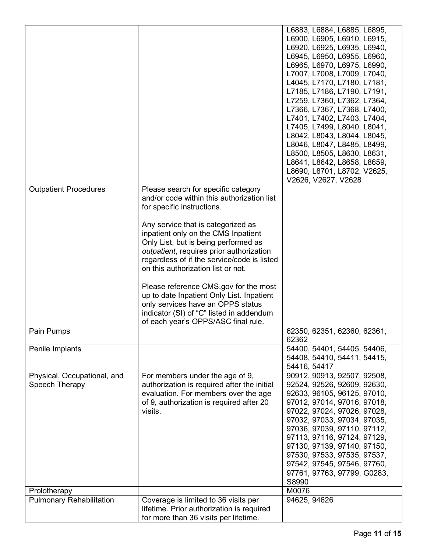|                                 |                                             | L6883, L6884, L6885, L6895, |
|---------------------------------|---------------------------------------------|-----------------------------|
|                                 |                                             | L6900, L6905, L6910, L6915, |
|                                 |                                             | L6920, L6925, L6935, L6940, |
|                                 |                                             | L6945, L6950, L6955, L6960, |
|                                 |                                             |                             |
|                                 |                                             | L6965, L6970, L6975, L6990, |
|                                 |                                             | L7007, L7008, L7009, L7040, |
|                                 |                                             | L4045, L7170, L7180, L7181, |
|                                 |                                             | L7185, L7186, L7190, L7191, |
|                                 |                                             | L7259, L7360, L7362, L7364, |
|                                 |                                             | L7366, L7367, L7368, L7400, |
|                                 |                                             | L7401, L7402, L7403, L7404, |
|                                 |                                             | L7405, L7499, L8040, L8041, |
|                                 |                                             | L8042, L8043, L8044, L8045, |
|                                 |                                             | L8046, L8047, L8485, L8499, |
|                                 |                                             | L8500, L8505, L8630, L8631, |
|                                 |                                             |                             |
|                                 |                                             | L8641, L8642, L8658, L8659, |
|                                 |                                             | L8690, L8701, L8702, V2625, |
|                                 |                                             | V2626, V2627, V2628         |
| <b>Outpatient Procedures</b>    | Please search for specific category         |                             |
|                                 | and/or code within this authorization list  |                             |
|                                 | for specific instructions.                  |                             |
|                                 |                                             |                             |
|                                 | Any service that is categorized as          |                             |
|                                 | inpatient only on the CMS Inpatient         |                             |
|                                 | Only List, but is being performed as        |                             |
|                                 | outpatient, requires prior authorization    |                             |
|                                 | regardless of if the service/code is listed |                             |
|                                 | on this authorization list or not.          |                             |
|                                 |                                             |                             |
|                                 |                                             |                             |
|                                 | Please reference CMS.gov for the most       |                             |
|                                 | up to date Inpatient Only List. Inpatient   |                             |
|                                 | only services have an OPPS status           |                             |
|                                 | indicator (SI) of "C" listed in addendum    |                             |
|                                 | of each year's OPPS/ASC final rule.         |                             |
| Pain Pumps                      |                                             | 62350, 62351, 62360, 62361, |
|                                 |                                             | 62362                       |
| Penile Implants                 |                                             | 54400, 54401, 54405, 54406, |
|                                 |                                             | 54408, 54410, 54411, 54415, |
|                                 |                                             | 54416, 54417                |
| Physical, Occupational, and     | For members under the age of 9,             | 90912, 90913, 92507, 92508, |
| Speech Therapy                  | authorization is required after the initial | 92524, 92526, 92609, 92630, |
|                                 | evaluation. For members over the age        | 92633, 96105, 96125, 97010, |
|                                 | of 9, authorization is required after 20    | 97012, 97014, 97016, 97018, |
|                                 | visits.                                     |                             |
|                                 |                                             | 97022, 97024, 97026, 97028, |
|                                 |                                             | 97032, 97033, 97034, 97035, |
|                                 |                                             | 97036, 97039, 97110, 97112, |
|                                 |                                             | 97113, 97116, 97124, 97129, |
|                                 |                                             | 97130, 97139, 97140, 97150, |
|                                 |                                             | 97530, 97533, 97535, 97537, |
|                                 |                                             | 97542, 97545, 97546, 97760, |
|                                 |                                             | 97761, 97763, 97799, G0283, |
|                                 |                                             | S8990                       |
| Prolotherapy                    |                                             | M0076                       |
| <b>Pulmonary Rehabilitation</b> | Coverage is limited to 36 visits per        | 94625, 94626                |
|                                 | lifetime. Prior authorization is required   |                             |
|                                 | for more than 36 visits per lifetime.       |                             |
|                                 |                                             |                             |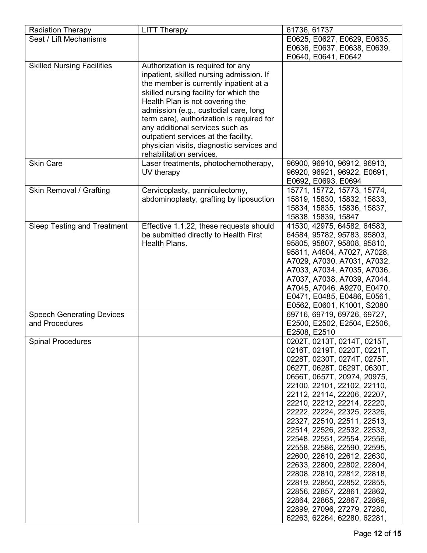| <b>Radiation Therapy</b>           | <b>LITT Therapy</b>                       | 61736, 61737                                               |
|------------------------------------|-------------------------------------------|------------------------------------------------------------|
| Seat / Lift Mechanisms             |                                           | E0625, E0627, E0629, E0635,                                |
|                                    |                                           | E0636, E0637, E0638, E0639,                                |
|                                    |                                           | E0640, E0641, E0642                                        |
| <b>Skilled Nursing Facilities</b>  | Authorization is required for any         |                                                            |
|                                    | inpatient, skilled nursing admission. If  |                                                            |
|                                    | the member is currently inpatient at a    |                                                            |
|                                    | skilled nursing facility for which the    |                                                            |
|                                    | Health Plan is not covering the           |                                                            |
|                                    | admission (e.g., custodial care, long     |                                                            |
|                                    | term care), authorization is required for |                                                            |
|                                    | any additional services such as           |                                                            |
|                                    | outpatient services at the facility,      |                                                            |
|                                    | physician visits, diagnostic services and |                                                            |
|                                    | rehabilitation services.                  |                                                            |
| <b>Skin Care</b>                   | Laser treatments, photochemotherapy,      | 96900, 96910, 96912, 96913,                                |
|                                    | UV therapy                                | 96920, 96921, 96922, E0691,                                |
|                                    |                                           | E0692, E0693, E0694                                        |
| Skin Removal / Grafting            | Cervicoplasty, panniculectomy,            | 15771, 15772, 15773, 15774,                                |
|                                    | abdominoplasty, grafting by liposuction   | 15819, 15830, 15832, 15833,                                |
|                                    |                                           | 15834, 15835, 15836, 15837,                                |
|                                    |                                           | 15838, 15839, 15847                                        |
| <b>Sleep Testing and Treatment</b> | Effective 1.1.22, these requests should   | 41530, 42975, 64582, 64583,                                |
|                                    | be submitted directly to Health First     | 64584, 95782, 95783, 95803,                                |
|                                    | Health Plans.                             | 95805, 95807, 95808, 95810,                                |
|                                    |                                           | 95811, A4604, A7027, A7028,                                |
|                                    |                                           | A7029, A7030, A7031, A7032,                                |
|                                    |                                           | A7033, A7034, A7035, A7036,<br>A7037, A7038, A7039, A7044, |
|                                    |                                           | A7045, A7046, A9270, E0470,                                |
|                                    |                                           | E0471, E0485, E0486, E0561,                                |
|                                    |                                           | E0562, E0601, K1001, S2080                                 |
| <b>Speech Generating Devices</b>   |                                           | 69716, 69719, 69726, 69727,                                |
| and Procedures                     |                                           | E2500, E2502, E2504, E2506,                                |
|                                    |                                           | E2508, E2510                                               |
| <b>Spinal Procedures</b>           |                                           | 0202T, 0213T, 0214T, 0215T,                                |
|                                    |                                           | 0216T, 0219T, 0220T, 0221T,                                |
|                                    |                                           | 0228T, 0230T, 0274T, 0275T,                                |
|                                    |                                           | 0627T, 0628T, 0629T, 0630T,                                |
|                                    |                                           | 0656T, 0657T, 20974, 20975,                                |
|                                    |                                           | 22100, 22101, 22102, 22110,                                |
|                                    |                                           | 22112, 22114, 22206, 22207,                                |
|                                    |                                           | 22210, 22212, 22214, 22220,                                |
|                                    |                                           | 22222, 22224, 22325, 22326,                                |
|                                    |                                           | 22327, 22510, 22511, 22513,                                |
|                                    |                                           | 22514, 22526, 22532, 22533,                                |
|                                    |                                           | 22548, 22551, 22554, 22556,                                |
|                                    |                                           | 22558, 22586, 22590, 22595,                                |
|                                    |                                           | 22600, 22610, 22612, 22630,                                |
|                                    |                                           | 22633, 22800, 22802, 22804,                                |
|                                    |                                           | 22808, 22810, 22812, 22818,                                |
|                                    |                                           | 22819, 22850, 22852, 22855,                                |
|                                    |                                           | 22856, 22857, 22861, 22862,<br>22864, 22865, 22867, 22869, |
|                                    |                                           | 22899, 27096, 27279, 27280,                                |
|                                    |                                           | 62263, 62264, 62280, 62281,                                |
|                                    |                                           |                                                            |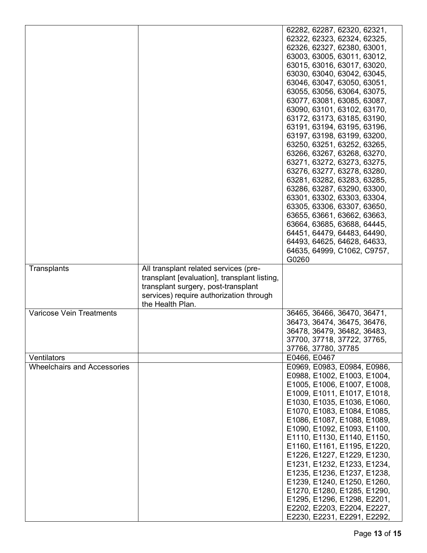|                                    |                                              | 62282, 62287, 62320, 62321, |
|------------------------------------|----------------------------------------------|-----------------------------|
|                                    |                                              | 62322, 62323, 62324, 62325, |
|                                    |                                              | 62326, 62327, 62380, 63001, |
|                                    |                                              | 63003, 63005, 63011, 63012, |
|                                    |                                              | 63015, 63016, 63017, 63020, |
|                                    |                                              |                             |
|                                    |                                              | 63030, 63040, 63042, 63045, |
|                                    |                                              | 63046, 63047, 63050, 63051, |
|                                    |                                              | 63055, 63056, 63064, 63075, |
|                                    |                                              | 63077, 63081, 63085, 63087, |
|                                    |                                              | 63090, 63101, 63102, 63170, |
|                                    |                                              | 63172, 63173, 63185, 63190, |
|                                    |                                              | 63191, 63194, 63195, 63196, |
|                                    |                                              | 63197, 63198, 63199, 63200, |
|                                    |                                              | 63250, 63251, 63252, 63265, |
|                                    |                                              | 63266, 63267, 63268, 63270, |
|                                    |                                              | 63271, 63272, 63273, 63275, |
|                                    |                                              | 63276, 63277, 63278, 63280, |
|                                    |                                              | 63281, 63282, 63283, 63285, |
|                                    |                                              | 63286, 63287, 63290, 63300, |
|                                    |                                              | 63301, 63302, 63303, 63304, |
|                                    |                                              |                             |
|                                    |                                              | 63305, 63306, 63307, 63650, |
|                                    |                                              | 63655, 63661, 63662, 63663, |
|                                    |                                              | 63664, 63685, 63688, 64445, |
|                                    |                                              | 64451, 64479, 64483, 64490, |
|                                    |                                              | 64493, 64625, 64628, 64633, |
|                                    |                                              | 64635, 64999, C1062, C9757, |
|                                    |                                              | G0260                       |
| Transplants                        | All transplant related services (pre-        |                             |
|                                    | transplant [evaluation], transplant listing, |                             |
|                                    | transplant surgery, post-transplant          |                             |
|                                    | services) require authorization through      |                             |
|                                    | the Health Plan.                             |                             |
| <b>Varicose Vein Treatments</b>    |                                              | 36465, 36466, 36470, 36471, |
|                                    |                                              | 36473, 36474, 36475, 36476, |
|                                    |                                              | 36478, 36479, 36482, 36483, |
|                                    |                                              |                             |
|                                    |                                              | 37700, 37718, 37722, 37765, |
|                                    |                                              | 37766, 37780, 37785         |
| Ventilators                        |                                              | E0466, E0467                |
| <b>Wheelchairs and Accessories</b> |                                              | E0969, E0983, E0984, E0986, |
|                                    |                                              | E0988, E1002, E1003, E1004, |
|                                    |                                              | E1005, E1006, E1007, E1008, |
|                                    |                                              | E1009, E1011, E1017, E1018, |
|                                    |                                              | E1030, E1035, E1036, E1060, |
|                                    |                                              | E1070, E1083, E1084, E1085, |
|                                    |                                              | E1086, E1087, E1088, E1089, |
|                                    |                                              | E1090, E1092, E1093, E1100, |
|                                    |                                              | E1110, E1130, E1140, E1150, |
|                                    |                                              | E1160, E1161, E1195, E1220, |
|                                    |                                              |                             |
|                                    |                                              | E1226, E1227, E1229, E1230, |
|                                    |                                              | E1231, E1232, E1233, E1234, |
|                                    |                                              | E1235, E1236, E1237, E1238, |
|                                    |                                              | E1239, E1240, E1250, E1260, |
|                                    |                                              | E1270, E1280, E1285, E1290, |
|                                    |                                              | E1295, E1296, E1298, E2201, |
|                                    |                                              |                             |
|                                    |                                              | E2202, E2203, E2204, E2227, |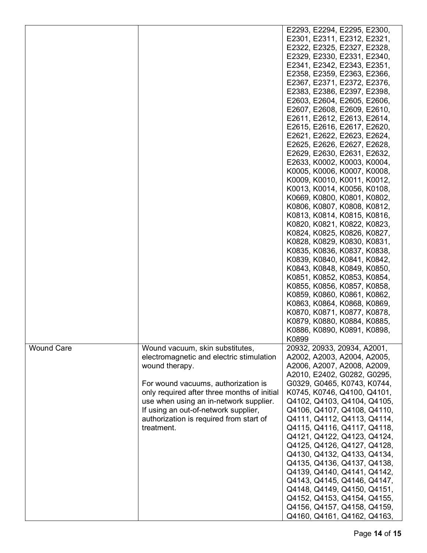|                   |                                             | E2293, E2294, E2295, E2300, |
|-------------------|---------------------------------------------|-----------------------------|
|                   |                                             | E2301, E2311, E2312, E2321, |
|                   |                                             | E2322, E2325, E2327, E2328, |
|                   |                                             | E2329, E2330, E2331, E2340, |
|                   |                                             | E2341, E2342, E2343, E2351, |
|                   |                                             |                             |
|                   |                                             | E2358, E2359, E2363, E2366, |
|                   |                                             | E2367, E2371, E2372, E2376, |
|                   |                                             | E2383, E2386, E2397, E2398, |
|                   |                                             | E2603, E2604, E2605, E2606, |
|                   |                                             | E2607, E2608, E2609, E2610, |
|                   |                                             | E2611, E2612, E2613, E2614, |
|                   |                                             | E2615, E2616, E2617, E2620, |
|                   |                                             | E2621, E2622, E2623, E2624, |
|                   |                                             | E2625, E2626, E2627, E2628, |
|                   |                                             | E2629, E2630, E2631, E2632, |
|                   |                                             | E2633, K0002, K0003, K0004, |
|                   |                                             | K0005, K0006, K0007, K0008, |
|                   |                                             | K0009, K0010, K0011, K0012, |
|                   |                                             | K0013, K0014, K0056, K0108, |
|                   |                                             | K0669, K0800, K0801, K0802, |
|                   |                                             | K0806, K0807, K0808, K0812, |
|                   |                                             | K0813, K0814, K0815, K0816, |
|                   |                                             | K0820, K0821, K0822, K0823, |
|                   |                                             |                             |
|                   |                                             | K0824, K0825, K0826, K0827, |
|                   |                                             | K0828, K0829, K0830, K0831, |
|                   |                                             | K0835, K0836, K0837, K0838, |
|                   |                                             | K0839, K0840, K0841, K0842, |
|                   |                                             | K0843, K0848, K0849, K0850, |
|                   |                                             | K0851, K0852, K0853, K0854, |
|                   |                                             | K0855, K0856, K0857, K0858, |
|                   |                                             | K0859, K0860, K0861, K0862, |
|                   |                                             | K0863, K0864, K0868, K0869, |
|                   |                                             | K0870, K0871, K0877, K0878, |
|                   |                                             | K0879, K0880, K0884, K0885, |
|                   |                                             | K0886, K0890, K0891, K0898, |
|                   |                                             | K0899                       |
| <b>Wound Care</b> | Wound vacuum, skin substitutes,             | 20932, 20933, 20934, A2001, |
|                   | electromagnetic and electric stimulation    | A2002, A2003, A2004, A2005, |
|                   | wound therapy.                              | A2006, A2007, A2008, A2009, |
|                   |                                             | A2010, E2402, G0282, G0295, |
|                   | For wound vacuums, authorization is         | G0329, G0465, K0743, K0744, |
|                   | only required after three months of initial | K0745, K0746, Q4100, Q4101, |
|                   | use when using an in-network supplier.      | Q4102, Q4103, Q4104, Q4105, |
|                   | If using an out-of-network supplier,        | Q4106, Q4107, Q4108, Q4110, |
|                   | authorization is required from start of     | Q4111, Q4112, Q4113, Q4114, |
|                   | treatment.                                  | Q4115, Q4116, Q4117, Q4118, |
|                   |                                             |                             |
|                   |                                             | Q4121, Q4122, Q4123, Q4124, |
|                   |                                             | Q4125, Q4126, Q4127, Q4128, |
|                   |                                             | Q4130, Q4132, Q4133, Q4134, |
|                   |                                             | Q4135, Q4136, Q4137, Q4138, |
|                   |                                             | Q4139, Q4140, Q4141, Q4142, |
|                   |                                             | Q4143, Q4145, Q4146, Q4147, |
|                   |                                             | Q4148, Q4149, Q4150, Q4151, |
|                   |                                             | Q4152, Q4153, Q4154, Q4155, |
|                   |                                             | Q4156, Q4157, Q4158, Q4159, |
|                   |                                             | Q4160, Q4161, Q4162, Q4163, |